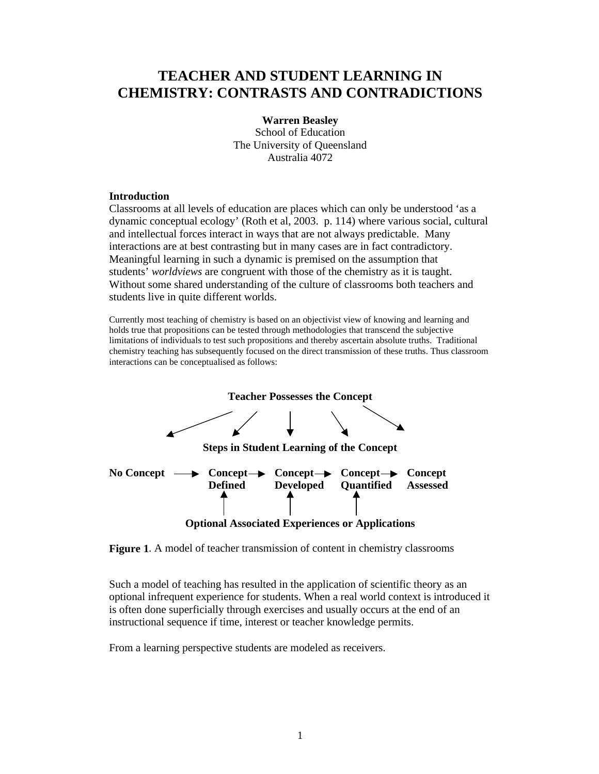# **TEACHER AND STUDENT LEARNING IN CHEMISTRY: CONTRASTS AND CONTRADICTIONS**

### **Warren Beasley**

School of Education The University of Queensland Australia 4072

### **Introduction**

Classrooms at all levels of education are places which can only be understood 'as a dynamic conceptual ecology' (Roth et al, 2003. p. 114) where various social, cultural and intellectual forces interact in ways that are not always predictable. Many interactions are at best contrasting but in many cases are in fact contradictory. Meaningful learning in such a dynamic is premised on the assumption that students' *worldviews* are congruent with those of the chemistry as it is taught. Without some shared understanding of the culture of classrooms both teachers and students live in quite different worlds.

Currently most teaching of chemistry is based on an objectivist view of knowing and learning and holds true that propositions can be tested through methodologies that transcend the subjective limitations of individuals to test such propositions and thereby ascertain absolute truths. Traditional chemistry teaching has subsequently focused on the direct transmission of these truths. Thus classroom interactions can be conceptualised as follows:



**Figure 1**. A model of teacher transmission of content in chemistry classrooms

Such a model of teaching has resulted in the application of scientific theory as an optional infrequent experience for students. When a real world context is introduced it is often done superficially through exercises and usually occurs at the end of an instructional sequence if time, interest or teacher knowledge permits.

From a learning perspective students are modeled as receivers.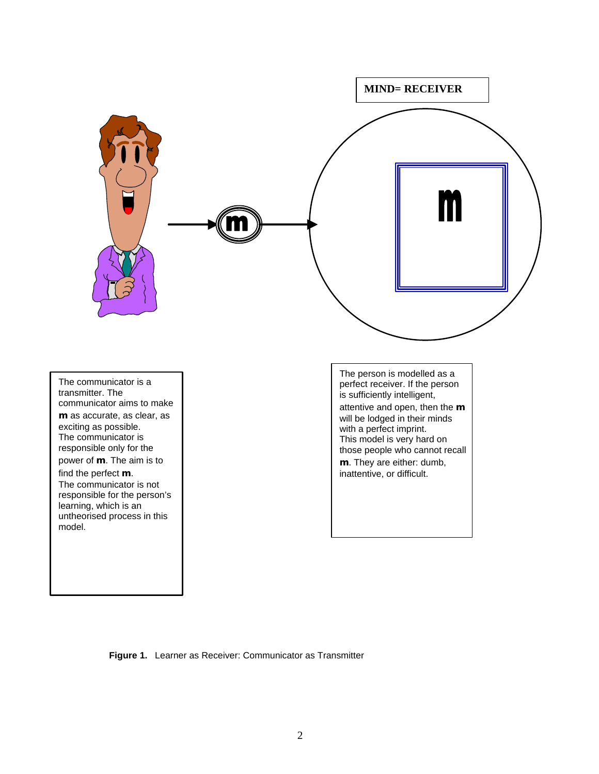

**Figure 1.** Learner as Receiver: Communicator as Transmitter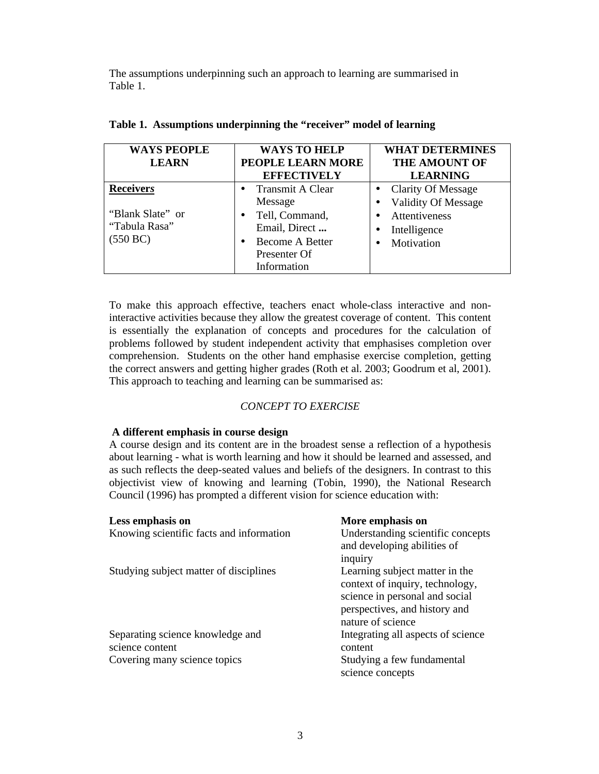The assumptions underpinning such an approach to learning are summarised in Table 1.

| <b>WAYS PEOPLE</b>                            | <b>WAYS TO HELP</b>                  | <b>WHAT DETERMINES</b>     |
|-----------------------------------------------|--------------------------------------|----------------------------|
| <b>LEARN</b>                                  | PEOPLE LEARN MORE                    | <b>THE AMOUNT OF</b>       |
|                                               | <b>EFFECTIVELY</b>                   | <b>LEARNING</b>            |
| <b>Receivers</b>                              | <b>Transmit A Clear</b><br>$\bullet$ | <b>Clarity Of Message</b>  |
| "Blank Slate" or<br>"Tabula Rasa"<br>(550 BC) | Message                              | <b>Validity Of Message</b> |
|                                               | Tell, Command,<br>$\bullet$          | Attentiveness              |
|                                               | Email, Direct                        | Intelligence               |
|                                               | <b>Become A Better</b><br>٠          | Motivation                 |
|                                               | Presenter Of                         |                            |
|                                               | Information                          |                            |

|  |  |  |  | Table 1. Assumptions underpinning the "receiver" model of learning |  |
|--|--|--|--|--------------------------------------------------------------------|--|
|--|--|--|--|--------------------------------------------------------------------|--|

To make this approach effective, teachers enact whole-class interactive and noninteractive activities because they allow the greatest coverage of content. This content is essentially the explanation of concepts and procedures for the calculation of problems followed by student independent activity that emphasises completion over comprehension. Students on the other hand emphasise exercise completion, getting the correct answers and getting higher grades (Roth et al. 2003; Goodrum et al, 2001). This approach to teaching and learning can be summarised as:

## *CONCEPT TO EXERCISE*

#### **A different emphasis in course design**

A course design and its content are in the broadest sense a reflection of a hypothesis about learning - what is worth learning and how it should be learned and assessed, and as such reflects the deep-seated values and beliefs of the designers. In contrast to this objectivist view of knowing and learning (Tobin, 1990), the National Research Council (1996) has prompted a different vision for science education with:

| Less emphasis on                         | More emphasis on                               |
|------------------------------------------|------------------------------------------------|
| Knowing scientific facts and information | Understanding scientific concepts              |
|                                          | and developing abilities of<br>inquiry         |
| Studying subject matter of disciplines   | Learning subject matter in the                 |
|                                          | context of inquiry, technology,                |
|                                          | science in personal and social                 |
|                                          | perspectives, and history and                  |
|                                          | nature of science                              |
| Separating science knowledge and         | Integrating all aspects of science             |
| science content                          | content                                        |
| Covering many science topics             | Studying a few fundamental<br>science concepts |
|                                          |                                                |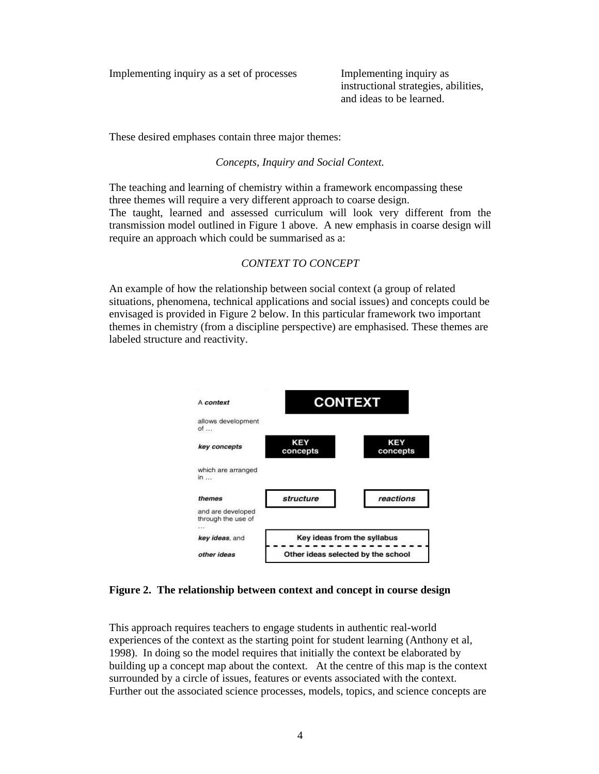Implementing inquiry as a set of processes Implementing inquiry as

instructional strategies, abilities, and ideas to be learned.

These desired emphases contain three major themes:

*Concepts, Inquiry and Social Context.*

The teaching and learning of chemistry within a framework encompassing these three themes will require a very different approach to coarse design. The taught, learned and assessed curriculum will look very different from the transmission model outlined in Figure 1 above. A new emphasis in coarse design will require an approach which could be summarised as a:

# *CONTEXT TO CONCEPT*

An example of how the relationship between social context (a group of related situations, phenomena, technical applications and social issues) and concepts could be envisaged is provided in Figure 2 below. In this particular framework two important themes in chemistry (from a discipline perspective) are emphasised. These themes are labeled structure and reactivity.



**Figure 2. The relationship between context and concept in course design**

This approach requires teachers to engage students in authentic real-world experiences of the context as the starting point for student learning (Anthony et al, 1998). In doing so the model requires that initially the context be elaborated by building up a concept map about the context. At the centre of this map is the context surrounded by a circle of issues, features or events associated with the context. Further out the associated science processes, models, topics, and science concepts are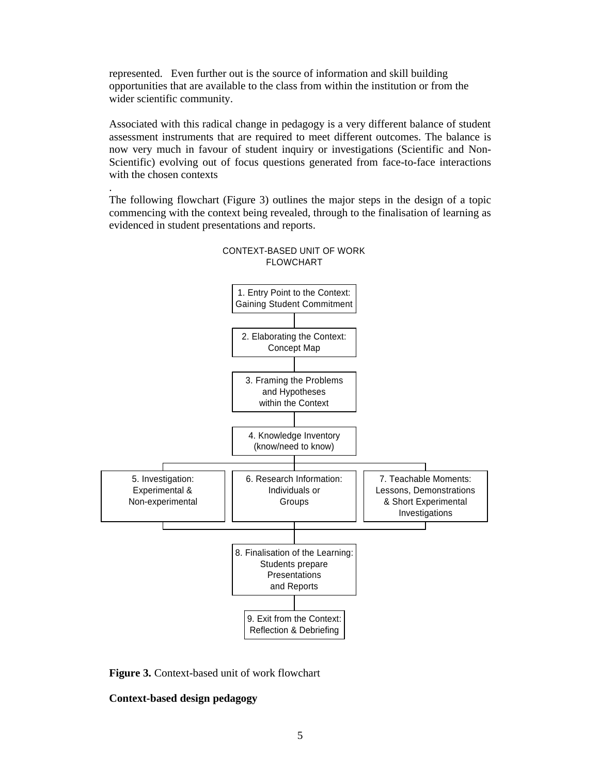represented. Even further out is the source of information and skill building opportunities that are available to the class from within the institution or from the wider scientific community.

Associated with this radical change in pedagogy is a very different balance of student assessment instruments that are required to meet different outcomes. The balance is now very much in favour of student inquiry or investigations (Scientific and Non-Scientific) evolving out of focus questions generated from face-to-face interactions with the chosen contexts

The following flowchart (Figure 3) outlines the major steps in the design of a topic commencing with the context being revealed, through to the finalisation of learning as evidenced in student presentations and reports.



## CONTEXT-BASED UNIT OF WORK FLOWCHART

**Figure 3.** Context-based unit of work flowchart

# **Context-based design pedagogy**

.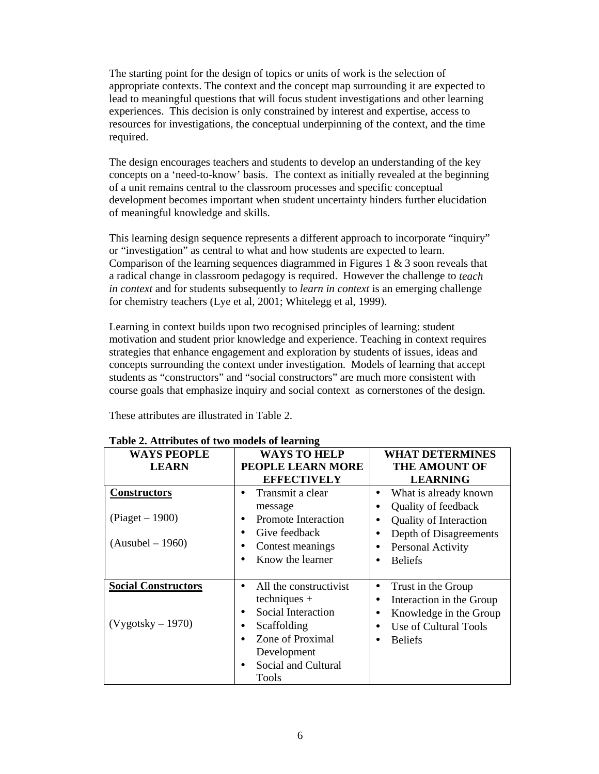The starting point for the design of topics or units of work is the selection of appropriate contexts. The context and the concept map surrounding it are expected to lead to meaningful questions that will focus student investigations and other learning experiences. This decision is only constrained by interest and expertise, access to resources for investigations, the conceptual underpinning of the context, and the time required.

The design encourages teachers and students to develop an understanding of the key concepts on a 'need-to-know' basis. The context as initially revealed at the beginning of a unit remains central to the classroom processes and specific conceptual development becomes important when student uncertainty hinders further elucidation of meaningful knowledge and skills.

This learning design sequence represents a different approach to incorporate "inquiry" or "investigation" as central to what and how students are expected to learn. Comparison of the learning sequences diagrammed in Figures 1  $\&$  3 soon reveals that a radical change in classroom pedagogy is required. However the challenge to *teach in context* and for students subsequently to *learn in context* is an emerging challenge for chemistry teachers (Lye et al, 2001; Whitelegg et al, 1999).

Learning in context builds upon two recognised principles of learning: student motivation and student prior knowledge and experience. Teaching in context requires strategies that enhance engagement and exploration by students of issues, ideas and concepts surrounding the context under investigation. Models of learning that accept students as "constructors" and "social constructors" are much more consistent with course goals that emphasize inquiry and social context as cornerstones of the design.

These attributes are illustrated in Table 2.

| <b>WAYS PEOPLE</b>                                           | <b>WAYS TO HELP</b>                                                                                                                                                                       | <b>WHAT DETERMINES</b>                                                                                                                                                                |
|--------------------------------------------------------------|-------------------------------------------------------------------------------------------------------------------------------------------------------------------------------------------|---------------------------------------------------------------------------------------------------------------------------------------------------------------------------------------|
| <b>LEARN</b>                                                 | <b>PEOPLE LEARN MORE</b>                                                                                                                                                                  | <b>THE AMOUNT OF</b>                                                                                                                                                                  |
|                                                              | <b>EFFECTIVELY</b>                                                                                                                                                                        | <b>LEARNING</b>                                                                                                                                                                       |
| <b>Constructors</b><br>$(Piaget - 1900)$<br>(Ausubel – 1960) | Transmit a clear<br>٠<br>message<br><b>Promote Interaction</b><br>$\bullet$<br>Give feedback<br>٠<br>Contest meanings<br>٠<br>Know the learner<br>$\bullet$                               | What is already known<br>Quality of feedback<br>$\bullet$<br><b>Quality of Interaction</b><br>$\bullet$<br>Depth of Disagreements<br>$\bullet$<br>Personal Activity<br><b>Beliefs</b> |
|                                                              |                                                                                                                                                                                           |                                                                                                                                                                                       |
| <b>Social Constructors</b><br>(Vygotsky – 1970)              | All the constructivist<br>٠<br>$techniques +$<br>Social Interaction<br>$\bullet$<br>Scaffolding<br>٠<br>Zone of Proximal<br>$\bullet$<br>Development<br>Social and Cultural<br>٠<br>Tools | Trust in the Group<br>$\bullet$<br>Interaction in the Group<br>Knowledge in the Group<br>$\bullet$<br>Use of Cultural Tools<br>$\bullet$<br><b>Beliefs</b>                            |

#### **Table 2. Attributes of two models of learning**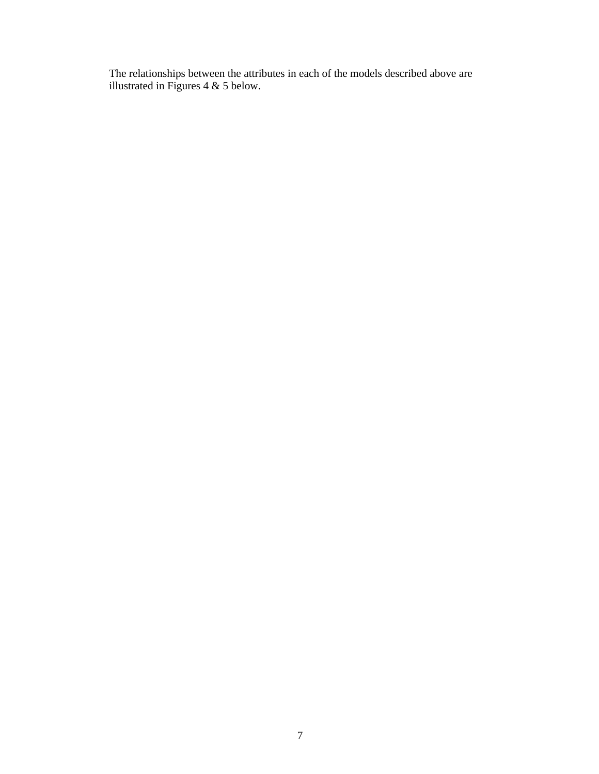The relationships between the attributes in each of the models described above are illustrated in Figures  $4 \& 5$  below.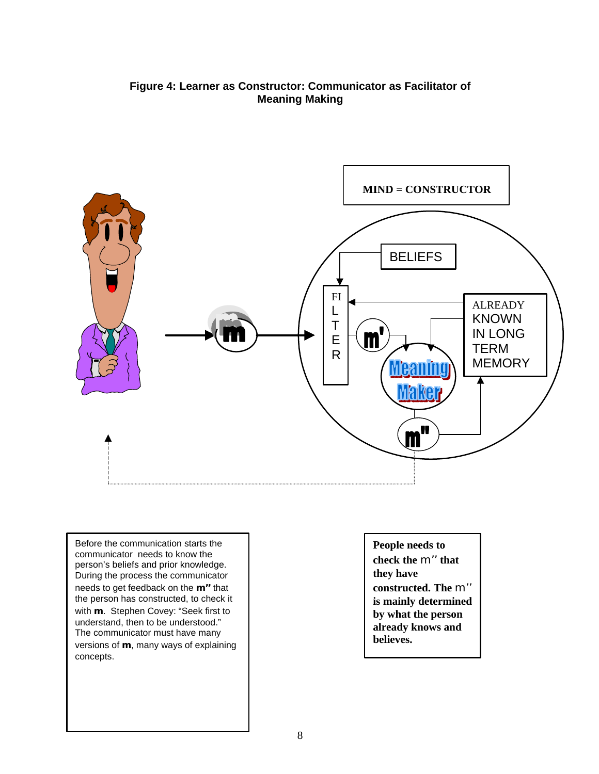# **Figure 4: Learner as Constructor: Communicator as Facilitator of Meaning Making**



Before the communication starts the communicator needs to know the person's beliefs and prior knowledge. During the process the communicator needs to get feedback on the **m''** that the person has constructed, to check it with **m**. Stephen Covey: "Seek first to understand, then to be understood." The communicator must have many versions of **m**, many ways of explaining concepts.

**People needs to check the** m'' **that they have constructed. The** m'' **is mainly determined by what the person already knows and believes.**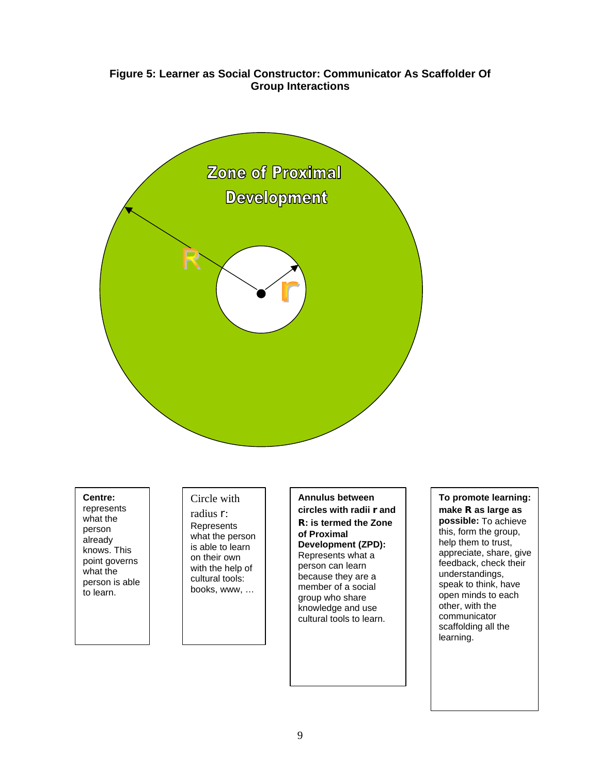# **Figure 5: Learner as Social Constructor: Communicator As Scaffolder Of Group Interactions**



**ng** what the **Centre:**  represents person already knows. This point governs what the person is able to learn.

# Circle with

radius r: **Represents** what the person is able to learn on their own with the help of cultural tools: books, www, …

**Annulus between circles with radii r and R: is termed the Zone of Proximal Development (ZPD):** Represents what a person can learn because they are a member of a social group who share

knowledge and use cultural tools to learn.

**To promote learning: make R as large as possible:** To achieve this, form the group, help them to trust, appreciate, share, give feedback, check their understandings, speak to think, have open minds to each other, with the communicator scaffolding all the learning.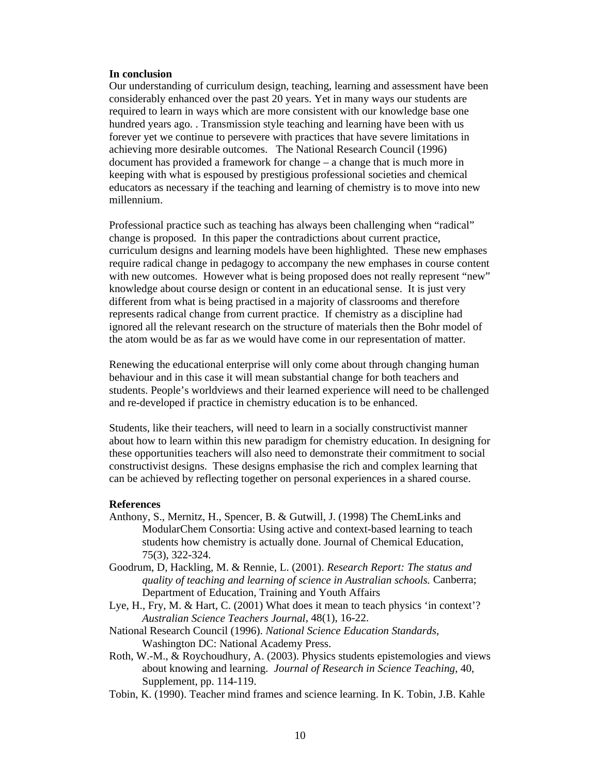#### **In conclusion**

Our understanding of curriculum design, teaching, learning and assessment have been considerably enhanced over the past 20 years. Yet in many ways our students are required to learn in ways which are more consistent with our knowledge base one hundred years ago. . Transmission style teaching and learning have been with us forever yet we continue to persevere with practices that have severe limitations in achieving more desirable outcomes. The National Research Council (1996) document has provided a framework for change – a change that is much more in keeping with what is espoused by prestigious professional societies and chemical educators as necessary if the teaching and learning of chemistry is to move into new millennium.

Professional practice such as teaching has always been challenging when "radical" change is proposed. In this paper the contradictions about current practice, curriculum designs and learning models have been highlighted. These new emphases require radical change in pedagogy to accompany the new emphases in course content with new outcomes. However what is being proposed does not really represent "new" knowledge about course design or content in an educational sense. It is just very different from what is being practised in a majority of classrooms and therefore represents radical change from current practice. If chemistry as a discipline had ignored all the relevant research on the structure of materials then the Bohr model of the atom would be as far as we would have come in our representation of matter.

Renewing the educational enterprise will only come about through changing human behaviour and in this case it will mean substantial change for both teachers and students. People's worldviews and their learned experience will need to be challenged and re-developed if practice in chemistry education is to be enhanced.

Students, like their teachers, will need to learn in a socially constructivist manner about how to learn within this new paradigm for chemistry education. In designing for these opportunities teachers will also need to demonstrate their commitment to social constructivist designs. These designs emphasise the rich and complex learning that can be achieved by reflecting together on personal experiences in a shared course.

#### **References**

- Anthony, S., Mernitz, H., Spencer, B. & Gutwill, J. (1998) The ChemLinks and ModularChem Consortia: Using active and context-based learning to teach students how chemistry is actually done. Journal of Chemical Education, 75(3), 322-324.
- Goodrum, D, Hackling, M. & Rennie, L. (2001). *Research Report: The status and quality of teaching and learning of science in Australian schools.* Canberra; Department of Education, Training and Youth Affairs
- Lye, H., Fry, M. & Hart, C. (2001) What does it mean to teach physics 'in context'? *Australian Science Teachers Journal*, 48(1), 16-22.
- National Research Council (1996). *National Science Education Standards,* Washington DC: National Academy Press.
- Roth, W.-M., & Roychoudhury, A. (2003). Physics students epistemologies and views about knowing and learning. *Journal of Research in Science Teaching*, 40, Supplement, pp. 114-119.
- Tobin, K. (1990). Teacher mind frames and science learning. In K. Tobin, J.B. Kahle